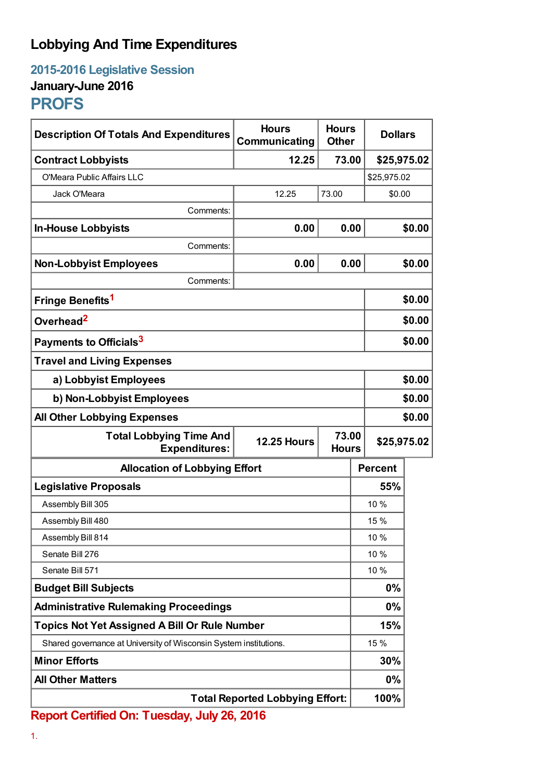## **Lobbying And Time Expenditures**

**2015-2016 Legislative Session January-June 2016**

## **PROFS**

| <b>Description Of Totals And Expenditures</b>                     | <b>Hours</b><br>Communicating | <b>Hours</b><br><b>Other</b> | <b>Dollars</b> |        |
|-------------------------------------------------------------------|-------------------------------|------------------------------|----------------|--------|
| <b>Contract Lobbyists</b>                                         | 12.25                         | 73.00                        | \$25,975.02    |        |
| O'Meara Public Affairs LLC                                        |                               |                              | \$25,975.02    |        |
| Jack O'Meara                                                      | 12.25                         | 73.00                        | \$0.00         |        |
| Comments:                                                         |                               |                              |                |        |
| <b>In-House Lobbyists</b>                                         | 0.00                          | 0.00                         |                | \$0.00 |
| Comments:                                                         |                               |                              |                |        |
| <b>Non-Lobbyist Employees</b>                                     | 0.00                          | 0.00                         |                | \$0.00 |
| Comments:                                                         |                               |                              |                |        |
| Fringe Benefits <sup>1</sup>                                      |                               |                              |                | \$0.00 |
| Overhead <sup>2</sup>                                             |                               |                              |                | \$0.00 |
| Payments to Officials <sup>3</sup>                                |                               |                              | \$0.00         |        |
| <b>Travel and Living Expenses</b>                                 |                               |                              |                |        |
| a) Lobbyist Employees                                             |                               |                              | \$0.00         |        |
| b) Non-Lobbyist Employees                                         |                               |                              | \$0.00         |        |
| <b>All Other Lobbying Expenses</b>                                |                               |                              | \$0.00         |        |
| <b>Total Lobbying Time And</b><br><b>Expenditures:</b>            | <b>12.25 Hours</b>            | 73.00<br><b>Hours</b>        | \$25,975.02    |        |
| <b>Allocation of Lobbying Effort</b>                              |                               |                              | <b>Percent</b> |        |
| <b>Legislative Proposals</b>                                      |                               |                              | 55%            |        |
| Assembly Bill 305                                                 |                               |                              | 10 %           |        |
| Assembly Bill 480                                                 |                               |                              | 15 %           |        |
| Assembly Bill 814                                                 |                               |                              | 10 %           |        |
| Senate Bill 276                                                   |                               |                              | 10%            |        |
| Senate Bill 571                                                   |                               |                              | 10 %           |        |
| <b>Budget Bill Subjects</b>                                       |                               |                              | 0%             |        |
| <b>Administrative Rulemaking Proceedings</b>                      |                               |                              | 0%             |        |
| <b>Topics Not Yet Assigned A Bill Or Rule Number</b>              |                               |                              | 15%            |        |
| Shared governance at University of Wisconsin System institutions. |                               |                              | 15 %           |        |
| <b>Minor Efforts</b>                                              |                               |                              | 30%            |        |
| <b>All Other Matters</b>                                          |                               |                              | 0%             |        |
| <b>Total Reported Lobbying Effort:</b>                            |                               |                              | 100%           |        |

**Report Certified On: Tuesday, July 26, 2016**